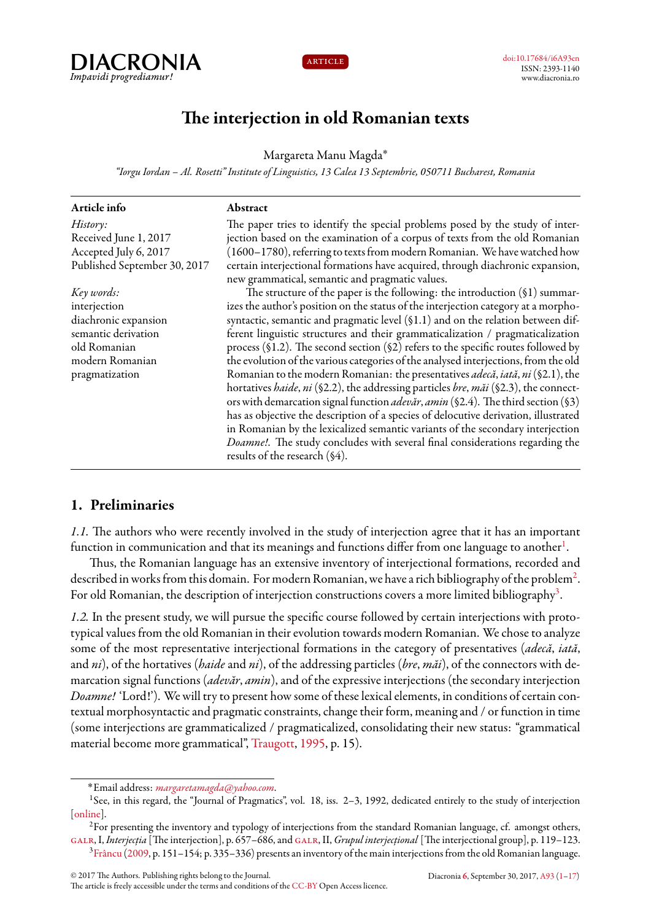



# **The interjection in old Romanian texts**

Margareta Manu Magda˚

*"Iorgu Iordan – Al. Rosetti" Institute of Linguistics, 13 Calea 13 Septembrie, 050711 Bucharest, Romania*

| Article info                 | Abstract                                                                                       |
|------------------------------|------------------------------------------------------------------------------------------------|
| History:                     | The paper tries to identify the special problems posed by the study of inter-                  |
| Received June 1, 2017        | jection based on the examination of a corpus of texts from the old Romanian                    |
| Accepted July 6, 2017        | (1600–1780), referring to texts from modern Romanian. We have watched how                      |
| Published September 30, 2017 | certain interjectional formations have acquired, through diachronic expansion,                 |
|                              | new grammatical, semantic and pragmatic values.                                                |
| Key words:                   | The structure of the paper is the following: the introduction $(91)$ summar-                   |
| interjection                 | izes the author's position on the status of the interjection category at a morpho-             |
| diachronic expansion         | syntactic, semantic and pragmatic level (§1.1) and on the relation between dif-                |
| semantic derivation          | ferent linguistic structures and their grammaticalization / pragmaticalization                 |
| old Romanian                 | process (§1.2). The second section (§2) refers to the specific routes followed by              |
| modern Romanian              | the evolution of the various categories of the analysed interjections, from the old            |
| pragmatization               | Romanian to the modern Romanian: the presentatives <i>adecă</i> , <i>iată</i> , ni (§2.1), the |
|                              | hortatives <i>haide</i> , ni (§2.2), the addressing particles bre, măi (§2.3), the connect-    |
|                              | ors with demarcation signal function <i>adevăr</i> , amin (§2.4). The third section (§3)       |
|                              | has as objective the description of a species of delocutive derivation, illustrated            |
|                              | in Romanian by the lexicalized semantic variants of the secondary interjection                 |
|                              | Doamne!. The study concludes with several final considerations regarding the                   |
|                              | results of the research (§4).                                                                  |

# <span id="page-0-0"></span>**1. Preliminaries**

*1.1.* The authors who were recently involved in the study of interjection agree that it has an important function in communication and that its meanings and functions differ from one language to another $^{\rm l}$ .

Thus, the Romanian language has an extensive inventory of interjectional formations, recorded and described in works from this domain. For modern Romanian, we have a rich bibliography of the problem $^2$  $^2$ . For old Romanian, the description of interjection constructions covers a more limited bibliography<sup>[3](#page-0-3)</sup>.

*1.2.* In the present study, we will pursue the specific course followed by certain interjections with prototypical values from the old Romanian in their evolution towards modern Romanian. We chose to analyze some of the most representative interjectional formations in the category of presentatives (*adecă*, *iată*, and *ni*), of the hortatives (*haide* and *ni*), of the addressing particles (*bre*, *măi*), of the connectors with demarcation signal functions (*adevăr*, *amin*), and of the expressive interjections (the secondary interjection *Doamne!* 'Lord!'). We will try to present how some of these lexical elements, in conditions of certain contextual morphosyntactic and pragmatic constraints, change their form, meaning and / or function in time (some interjections are grammaticalized / pragmaticalized, consolidating their new status: "grammatical material become more grammatical", [Traugott](#page-16-0), [1995](#page-16-0), p. 15).

<span id="page-0-1"></span><sup>˚</sup>Email address: *[margaretamagda@yahoo.com](mailto:margaretamagda@yahoo.com)*.

<sup>&</sup>lt;sup>1</sup>See, in this regard, the "Journal of Pragmatics", vol. 18, iss. 2-3, 1992, dedicated entirely to the study of interjection [[online\]](http://www.sciencedirect.com/science/journal/03782166/18/2).

<span id="page-0-3"></span><span id="page-0-2"></span><sup>&</sup>lt;sup>2</sup>For presenting the inventory and typology of interjections from the standard Romanian language, cf. amongst others, [galr](#page-16-1), I,*Interjecția* [The interjection], p. 657–686, and [galr](#page-16-1), II,*Grupul interjecțional* [The interjectional group], p. 119–123.  $3Ffancu (2009, p. 151–154; p. 335–336) presents an inventory of the main interpretations from the old Romania language.$  $3Ffancu (2009, p. 151–154; p. 335–336) presents an inventory of the main interpretations from the old Romania language.$  $3Ffancu (2009, p. 151–154; p. 335–336) presents an inventory of the main interpretations from the old Romania language.$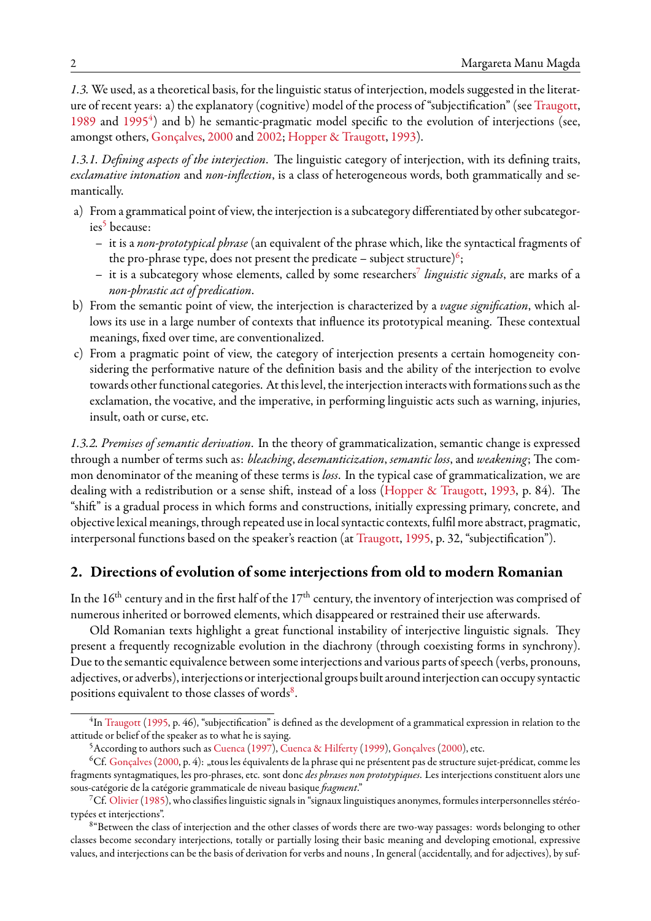*1.3.* We used, as a theoretical basis, for the linguistic status of interjection, models suggested in the literature of recent years: a) the explanatory (cognitive) model of the process of "subjectification" (see [Traugott](#page-16-2), [1989](#page-16-2) and [1995](#page-16-0)<sup>[4](#page-1-0)</sup>) and b) he semantic-pragmatic model specific to the evolution of interjections (see, amongst others, [Gonçalves](#page-16-3), [2000](#page-16-3) and [2002](#page-16-4); [Hopper & Traugott,](#page-16-5) [1993\)](#page-16-5).

*1.3.1. Defining aspects of the interjection*. The linguistic category of interjection, with its defining traits, *exclamative intonation* and *non-inflection*, is a class of heterogeneous words, both grammatically and semantically.

- a) From a grammatical point of view, the interjection is a subcategory differentiated by other subcategor-ies<sup>[5](#page-1-1)</sup> because:
	- it is a *non-prototypical phrase* (an equivalent of the phrase which, like the syntactical fragments of the pro-phrase type, does not present the predicate – subject structure) $^6;$  $^6;$  $^6;$
	- it is a subcategory whose elements, called by some researchers[7](#page-1-3) *linguistic signals*, are marks of a *non-phrastic act of predication*.
- b) From the semantic point of view, the interjection is characterized by a *vague signification*, which allows its use in a large number of contexts that influence its prototypical meaning. These contextual meanings, fixed over time, are conventionalized.
- c) From a pragmatic point of view, the category of interjection presents a certain homogeneity considering the performative nature of the definition basis and the ability of the interjection to evolve towards other functional categories. At this level, the interjection interacts with formations such as the exclamation, the vocative, and the imperative, in performing linguistic acts such as warning, injuries, insult, oath or curse, etc.

*1.3.2. Premises of semantic derivation*. In the theory of grammaticalization, semantic change is expressed through a number of terms such as: *bleaching*, *desemanticization*, *semantic loss*, and *weakening*; The common denominator of the meaning of these terms is *loss*. In the typical case of grammaticalization, we are dealing with a redistribution or a sense shift, instead of a loss([Hopper & Traugott,](#page-16-5) [1993,](#page-16-5) p. 84). The "shift" is a gradual process in which forms and constructions, initially expressing primary, concrete, and objective lexical meanings, through repeated use in local syntactic contexts, fulfil more abstract, pragmatic, interpersonal functions based on the speaker's reaction (at [Traugott,](#page-16-0) [1995,](#page-16-0) p. 32, "subjectification").

# **2. Directions of evolution of some interjections from old to modern Romanian**

In the  $16<sup>th</sup>$  century and in the first half of the  $17<sup>th</sup>$  century, the inventory of interjection was comprised of numerous inherited or borrowed elements, which disappeared or restrained their use afterwards.

Old Romanian texts highlight a great functional instability of interjective linguistic signals. They present a frequently recognizable evolution in the diachrony (through coexisting forms in synchrony). Due to the semantic equivalence between some interjections and various parts of speech (verbs, pronouns, adjectives, or adverbs), interjections or interjectional groups built around interjection can occupy syntactic positions equivalent to those classes of words $8$ .

<span id="page-1-0"></span> $^4$ In [Traugott](#page-16-0) [\(1995,](#page-16-0) p. 46), "subjectification" is defined as the development of a grammatical expression in relation to the attitude or belief of the speaker as to what he is saying.

<span id="page-1-2"></span><span id="page-1-1"></span><sup>5</sup>According to authors such as [Cuenca\(1997\)](#page-15-2), [Cuenca & Hilferty](#page-15-3) ([1999\)](#page-15-3), [Gonçalves](#page-16-3) ([2000\)](#page-16-3), etc.

 ${}^6Cf$ . [Gonçalves](#page-16-3) [\(2000](#page-16-3), p. 4): "tous les équivalents de la phrase qui ne présentent pas de structure sujet-prédicat, comme les fragments syntagmatiques, les pro-phrases, etc. sont donc *des phrases non prototypiques*. Les interjections constituent alors une sous-catégorie de la catégorie grammaticale de niveau basique *fragment*."

<span id="page-1-3"></span><sup>7</sup>Cf. [Olivier](#page-16-6)([1985](#page-16-6)), who classifies linguistic signals in "signaux linguistiques anonymes, formules interpersonnelles stéréotypées et interjections".

<span id="page-1-4"></span><sup>&</sup>lt;sup>8</sup> "Between the class of interjection and the other classes of words there are two-way passages: words belonging to other classes become secondary interjections, totally or partially losing their basic meaning and developing emotional, expressive values, and interjections can be the basis of derivation for verbs and nouns , In general (accidentally, and for adjectives), by suf-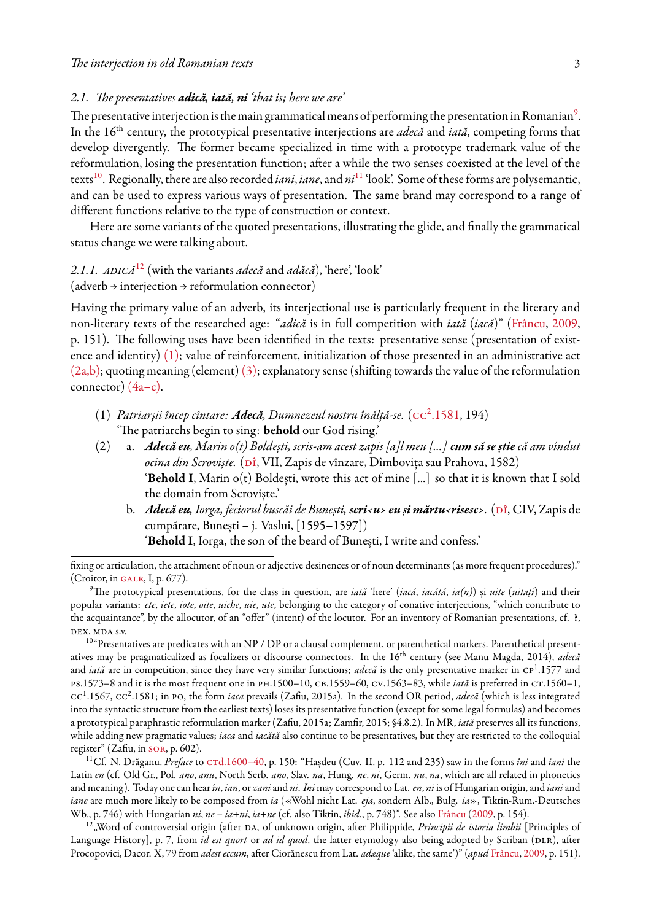#### *2.1. The presentatives adică, iată, ni 'that is; here we are'*

The presentative interjection is the main grammatical means of performing the presentation in Romanian $^9$  $^9$ . In the 16th century, the prototypical presentative interjections are *adecă* and *iată*, competing forms that develop divergently. The former became specialized in time with a prototype trademark value of the reformulation, losing the presentation function; after a while the two senses coexisted at the level of the texts[10](#page-2-1). Regionally, there are also recorded *iani*, *iane*, and *ni*[11](#page-2-2) 'look'. Some of these forms are polysemantic, and can be used to express various ways of presentation. The same brand may correspond to a range of different functions relative to the type of construction or context.

Here are some variants of the quoted presentations, illustrating the glide, and finally the grammatical status change we were talking about.

# *2.1.1. adică*[12](#page-2-3) (with the variants *adecă* and *adăcă*), 'here', 'look'

 $(adverb \rightarrow interior)$  interjection  $\rightarrow$  reformulation connector)

Having the primary value of an adverb, its interjectional use is particularly frequent in the literary and non-literary texts of the researched age: "*adică* is in full competition with *iată* (*iacă*)"([Frâncu](#page-15-1), [2009](#page-15-1), p. 151). The following uses have been identified in the texts: presentative sense (presentation of existence and identity) [\(1\);](#page-2-4) value of reinforcement, initialization of those presented in an administrative act  $(2a,b)$ ; quoting meaning (element)  $(3)$ ; explanatory sense (shifting towards the value of the reformulation connector)  $(4a-c)$ .

- <span id="page-2-4"></span>(1) *Patriarșii încep cîntare: Adecă, Dumnezeul nostru înălță-se.* (cc<sup>2</sup> [.1581,](#page-15-4) 194) 'The patriarchs begin to sing: **behold** our God rising.'
- <span id="page-2-5"></span>(2) a. *Adecă eu, Marin o(t) Boldești, scris-am acest zapis [a]l meu [...] cum să se știecă am vîndut* ocina din Scroviște. (Dî, VII, Zapis de vînzare, Dîmbovița sau Prahova, 1582) '**Behold I**, Marin o(t) Boldești, wrote this act of mine [...] so that it is known that I sold the domain from Scroviște.'
	- b. *Adecă eu, Iorga, feciorul buscăi de Bunești, scri<u> eu și mărtu<risesc>.* (Dî, CIV, Zapis de cumpărare, Bunești – j. Vaslui, [1595–1597]) '**Behold I**, Iorga, the son of the beard of Bunești, I write and confess.'

fixing or articulation, the attachment of noun or adjective desinences or of noun determinants (as more frequent procedures)." (Croitor, in GALR, I, p.  $677$ ).

<span id="page-2-1"></span> $10^{\circ}$ Presentatives are predicates with an NP / DP or a clausal complement, or parenthetical markers. Parenthetical presentatives may be pragmaticalized as focalizers or discourse connectors. In the 16<sup>th</sup> century (see Manu Magda, 2014), *adecă* and *iată* are in competition, since they have very similar functions; *adecă* is the only presentative marker in CP<sup>1</sup>.1577 and ps.1573–8 and it is the most frequent one in ph.1500–10, cb.1559–60, cv.1563–83, while *iată* is preferred in ct.1560–1, cc<sup>1</sup>.1567, cc<sup>2</sup>.1581; in PO, the form *iaca* prevails (Zafiu, 2015a). In the second OR period, *adecă* (which is less integrated into the syntactic structure from the earliest texts) loses its presentative function (except for some legal formulas) and becomes a prototypical paraphrastic reformulation marker (Zafiu, 2015a; Zamfir, 2015; §4.8.2). In MR, *iată* preserves all its functions, while adding new pragmatic values; *iaca* and *iacătă* also continue to be presentatives, but they are restricted to the colloquial register" (Zafiu, in [sor](#page-16-7), p. 602).

<span id="page-2-2"></span><sup>11</sup>Cf. N. Drăganu, *Preface* to CTd.1600–40, p. 150: "Hașdeu (Cuv. II, p. 112 and 235) saw in the forms îni and iani the Latin *en* (cf. Old Gr., Pol. *ano*, *anu*, North Serb. *ano*, Slav. *na*, Hung. *ne*, *ni*, Germ. *nu*, *na*, which are all related in phonetics and meaning). Today one can hear*în*, *ian*, or *zani*and *ni*. *Ini* may correspond to Lat. *en*, *ni* is of Hungarian origin, and *iani*and *iane* are much more likely to be composed from *ia* («Wohl nicht Lat. *eja*, sondern Alb., Bulg. *ia*», Tiktin-Rum.-Deutsches Wb., p. 746) with Hungarian *ni*, *ne* – *ia*+*ni*, *ia*+*ne* (cf. also Tiktin, *ibid.*, p. 748)". See also [Frâncu](#page-15-1) ([2009](#page-15-1), p. 154).

<span id="page-2-3"></span><sup>12</sup> "Word of controversial origin (after DA, of unknown origin, after Philippide, *Principii de istoria limbii* [Principles of Language History], p. 7, from *id est quort* or *ad id quod*, the latter etymology also being adopted by Scriban (DLR), after Procopovici, Dacor. X, 79 from *adest eccum*, after Ciorănescu from Lat. *adæque* 'alike, the same')" (*apud* [Frâncu](#page-15-1), [2009](#page-15-1), p. 151).

<span id="page-2-0"></span><sup>9</sup>The prototypical presentations, for the class in question, are *iată* 'here' (*iacă*, *iacătă*, *ia(n)*) și *uite* (*uitați*) and their popular variants: *ete*, *iete*, *iote*, *oite*, *uiche*, *uie*, *ute*, belonging to the category of conative interjections, "which contribute to the acquaintance", by the allocutor, of an "offer" (intent) of the locutor. For an inventory of Romanian presentations, cf. **?**, dex, mda s.v.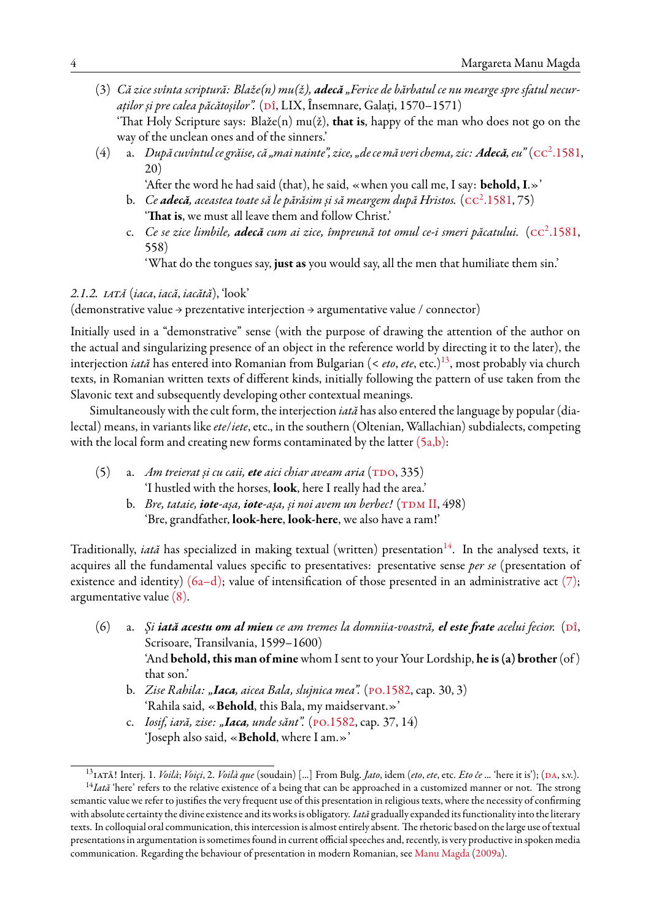- <span id="page-3-0"></span>(3) *Că zice svînta scriptură: Blaže(n) mu(ž), adecă "Ferice de bărbatul ce nu mearge spre sfatul necuraților și pre calea păcătoșilor".* [\(dî](#page-15-5), LIX, Însemnare, Galați, 1570–1571) 'That Holy Scripture says: Blaže(n) mu(ž), **that is**, happy of the man who does not go on the way of the unclean ones and of the sinners.'
- <span id="page-3-1"></span>(4) a. *După cuvîntul ce grăise, că "mai nainte", zice, "de ce mă veri chema, zic: Adecă, eu" (* $\text{cc}^2.1581$  $\text{cc}^2.1581$ *,* 20)
	- 'After the word he had said (that), he said, «when you call me, I say: **behold, I**.»'
	- b. Ce **adecă**, aceastea toate să le părăsim și să meargem după Hristos. (cc<sup>2</sup>[.1581](#page-15-4),75) '**That is**, we must all leave them and follow Christ.'
	- c. Ce se zice limbile, **adecă** cum ai zice, împreună tot omul ce-i smeri păcatului. ( $\text{cc}^2.1581,$  $\text{cc}^2.1581,$  $\text{cc}^2.1581,$ 558)

'What do the tongues say, **just as** you would say, all the men that humiliate them sin.'

#### *2.1.2. iată* (*iaca*, *iacă*, *iacătă*), 'look'

(demonstrative value → prezentative interjection → argumentative value / connector)

Initially used in a "demonstrative" sense (with the purpose of drawing the attention of the author on the actual and singularizing presence of an object in the reference world by directing it to the later), the interjection *iată* has entered into Romanian from Bulgarian (< *eto*, *ete*, etc.)<sup>[13](#page-3-2)</sup>, most probably via church texts, in Romanian written texts of different kinds, initially following the pattern of use taken from the Slavonic text and subsequently developing other contextual meanings.

Simultaneously with the cult form, the interjection *iată* has also entered the language by popular (dialectal) means, in variants like*ete*/*iete*, etc., in the southern (Oltenian, Wallachian) subdialects, competing with the local form and creating new forms contaminated by the latter  $(5a,b)$ :

- <span id="page-3-3"></span>(5) a. *Am treierat și cu caii, ete aici chiar aveam aria* (TDO, 335) 'I hustled with the horses, **look**, here I really had the area.'
	- b. *Bre, tataie, iote-așa, iote-așa, și noi avem un berbec!* (TDM II, 498) 'Bre, grandfather, **look-here**, **look-here**, we also have a ram!'

Traditionally, *iată* has specialized in making textual (written) presentation<sup>[14](#page-3-4)</sup>. In the analysed texts, it acquires all the fundamental values specific to presentatives: presentative sense *per se* (presentation of existence and identity)  $(6a-d)$ ; value of intensification of those presented in an administrative act  $(7)$ ; argumentative value [\(8\).](#page-4-1)

- <span id="page-3-5"></span>(6) a. *Și iată acestu om al mieu ce am tremes la domniia-voastră, el este frate acelui fecior.* (Dî, Scrisoare, Transilvania, 1599–1600) 'And **behold, this man of mine** whom I sent to your Your Lordship, **he is (a) brother**(of ) that son.'
	- b. *Zise Rahila: "Iaca, aicea Bala, slujnica mea".* ([po.1582,](#page-15-9) cap. 30, 3) 'Rahila said, «**Behold**, this Bala, my maidservant.»'
	- c. *Iosif, iară, zise: "Iaca, unde sănt".* ([po.1582,](#page-15-9) cap. 37, 14) 'Joseph also said, «**Behold**, where I am.»'

<span id="page-3-4"></span><span id="page-3-2"></span><sup>&</sup>lt;sup>13</sup>IATĂ! Interj. 1. *Voilà*; *Voiçi*, 2. *Voilà que* (soudain) [...] From Bulg. *Jato*, idem (*eto*, *ete*, etc. *Eto če* ... 'here it is'); (DA, s.v.).

<sup>&</sup>lt;sup>14</sup>Iată 'here' refers to the relative existence of a being that can be approached in a customized manner or not. The strong semantic value we refer to justifies the very frequent use of this presentation in religious texts, where the necessity of confirming with absolute certainty the divine existence and its works is obligatory. *Iată* gradually expanded its functionality into the literary texts. In colloquial oral communication, this intercession is almost entirely absent. The rhetoric based on the large use of textual presentations in argumentation is sometimes found in current official speeches and, recently, is very productive in spoken media communication. Regarding the behaviour of presentation in modern Romanian, see [Manu Magda\(2009a](#page-16-8)).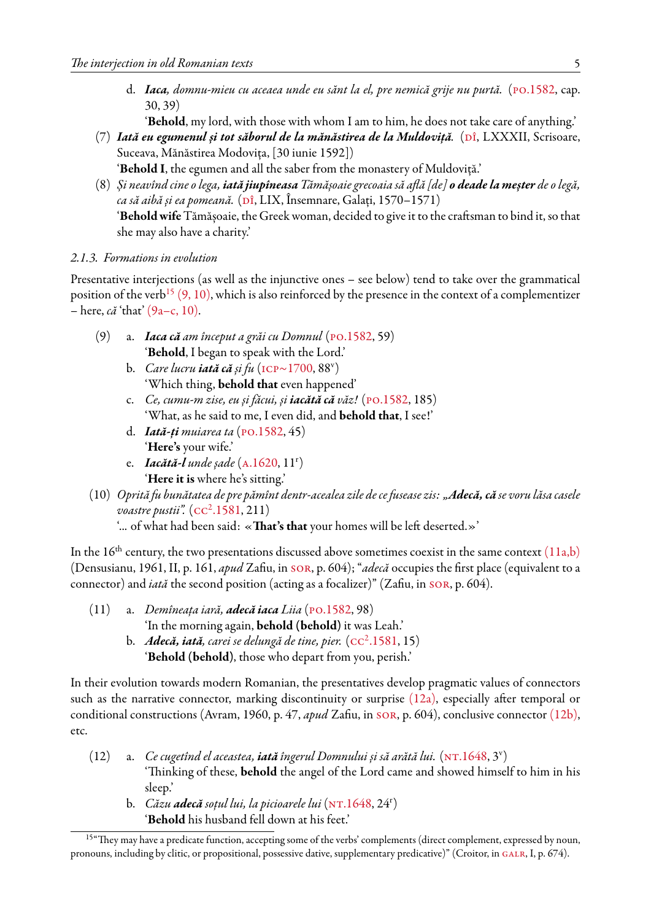d. *Iaca, domnu-mieu cu aceaea unde eu sănt la el, pre nemică grije nu purtă.* ([po.1582,](#page-15-9) cap. 30, 39)

'**Behold**, my lord, with those with whom I am to him, he does not take care of anything.'

- <span id="page-4-0"></span>(7) *Iată eu egumenul și tot săborul de la mănăstirea de la Muldoviță.* (Dî, LXXXII, Scrisoare, Suceava, Mănăstirea Modovița, [30 iunie 1592])
	- '**Behold I**, the egumen and all the saber from the monastery of Muldoviță.'
- <span id="page-4-1"></span>(8) *Și neavînd cine o lega, iată jiupîneasa Tămășoaie grecoaia să află [de] o deade la meșter de o legă,*  $ca$  *să aibă și ea pomeană.* ( $\overline{D}$ î, LIX, Însemnare, Galați, 1570–1571) '**Behold wife**Tămășoaie, the Greek woman, decided to give it to the craftsman to bind it, so that she may also have a charity.'

#### *2.1.3. Formations in evolution*

Presentative interjections (as well as the injunctive ones – see below) tend to take over the grammatical position of the verb<sup>[15](#page-4-2)</sup> [\(9,](#page-4-3) [10\),](#page-4-4) which is also reinforced by the presence in the context of a complementizer – here, *că* 'that' [\(9a–c,](#page-4-3) [10\)](#page-4-4).

- <span id="page-4-3"></span>(9) a. *Iaca că am început a grăi cu Domnul* ([po.1582](#page-15-9), 59) '**Behold**, I began to speak with the Lord.'
	- b. *Care lucru iată că și fu* [\(icp~1700](#page-15-11), 88<sup>v</sup> ) 'Which thing, **behold that** even happened'
	- c. *Ce, cumu-m zise, eu și făcui, și iacătă că văz!* ([po.1582](#page-15-9), 185) 'What, as he said to me, I even did, and **behold that**, I see!'
	- d. *Iată-ți muiarea ta* [\(po.1582](#page-15-9), 45) '**Here's** your wife.'
	- e. *Iacătă-l unde șade* [\(a.1620,](#page-15-12) 11<sup>r</sup> ) '**Here it is** where he's sitting.'
- <span id="page-4-4"></span>(10) *Oprită fu bunătatea de pre pămînt dentr-acealea zile de ce fusease zis: "Adecă, că se voru lăsa casele* voastre pustii". (cc<sup>2</sup>[.1581](#page-15-4), 211)
	- '... of what had been said: «**That's that** your homes will be left deserted.»'

In the  $16<sup>th</sup>$  century, the two presentations discussed above sometimes coexist in the same context  $(11a,b)$ (Densusianu, 1961, II, p. 161, *apud* Zafiu, in [sor,](#page-16-7) p. 604); "*adecă* occupies the first place (equivalent to a connector) and *iată* the second position (acting as a focalizer)" (Zafiu, in [sor](#page-16-7), p. 604).

- <span id="page-4-5"></span>(11) a. *Demîneața iară, adecă iaca Liia* ([po.1582](#page-15-9), 98)
	- 'In the morning again, **behold (behold)** it was Leah.'
	- b. A**decă, iată**, carei se delungă de tine, pier. ( $cc^2.1581, 15$  $cc^2.1581, 15$  $cc^2.1581, 15$ ) '**Behold (behold)**, those who depart from you, perish.'

In their evolution towards modern Romanian, the presentatives develop pragmatic values of connectors such as the narrative connector, marking discontinuity or surprise [\(12a\),](#page-4-6) especially after temporal or conditional constructions (Avram, 1960, p. 47, *apud* Zafiu, in [sor](#page-16-7), p. 604), conclusive connector [\(12b\)](#page-4-6), etc.

- <span id="page-4-6"></span>(12) a. *Ce cugetînd el aceastea, iată îngerul Domnului și să arătă lui.* [\(nt.1648,](#page-15-13) 3<sup>v</sup> ) 'Thinking of these, **behold** the angel of the Lord came and showed himself to him in his sleep.'
	- b. *Căzu <mark>adecă</mark> soțul lui, la picioarele lui* (NT.1648, 24<sup>r</sup>) '**Behold** his husband fell down at his feet.'

<span id="page-4-2"></span><sup>&</sup>lt;sup>15"</sup>They may have a predicate function, accepting some of the verbs' complements (direct complement, expressed by noun, pronouns, including by clitic, or propositional, possessive dative, supplementary predicative)" (Croitor, in GALR, I, p. 674).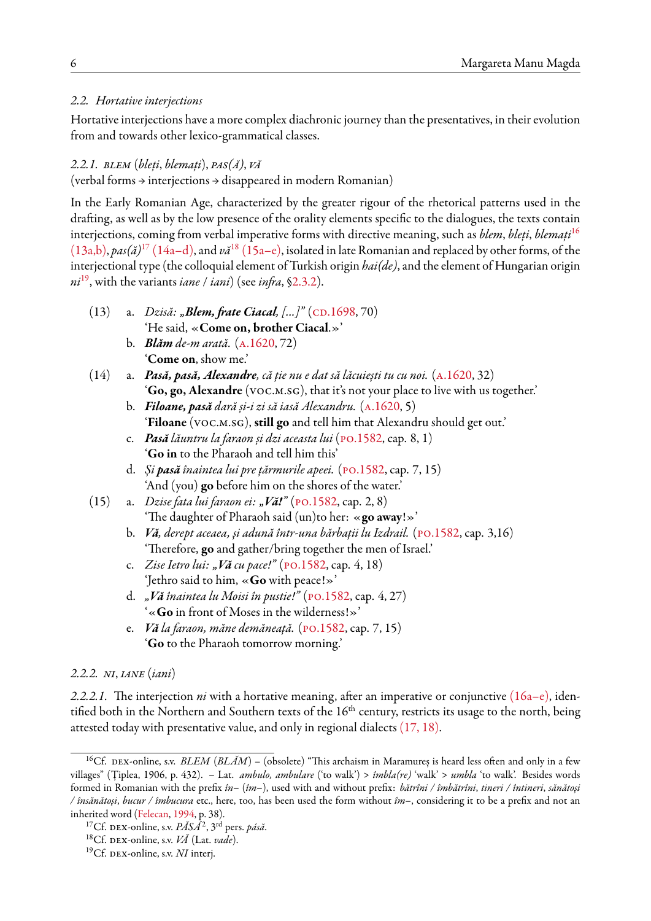# *2.2. Hortative interjections*

Hortative interjections have a more complex diachronic journey than the presentatives, in their evolution from and towards other lexico-grammatical classes.

## *2.2.1. blem* (*bleți*, *blemați*), *pas(ă)*, *vă*

(verbal forms → interjections → disappeared in modern Romanian)

In the Early Romanian Age, characterized by the greater rigour of the rhetorical patterns used in the drafting, as well as by the low presence of the orality elements specific to the dialogues, the texts contain interjections, coming from verbal imperative forms with directive meaning, such as *blem*, *bleți*, *blemați*[16](#page-5-0) [\(13a,b\)](#page-5-1), *pas(ă)*[17](#page-5-2) [\(14a–d\)](#page-5-3), and *vă*[18](#page-5-4) [\(15a–e\)](#page-5-5), isolated in late Romanian and replaced by other forms, of the interjectional type (the colloquial element of Turkish origin *hai(de)*, and the element of Hungarian origin *ni*[19](#page-5-6), with the variants *iane* / *iani*) (see *infra*, [§2.3.2\)](#page-8-0).

- <span id="page-5-1"></span>(13) a. *Dzisă: "Blem, frate Ciacal, [...]"* (CD.1698, 70) 'He said, «**Come on, brother Ciacal**.»'
	- b. *Blăm de-m arată.* ([a.1620](#page-15-12), 72) '**Come on**, show me.'
- <span id="page-5-3"></span>(14) a. *Pasă, pasă, Alexandre, că ție nu e dat să lăcuiești tu cu noi.* [\(a.1620,](#page-15-12) 32) '**Go, go, Alexandre** (voc.m.sg), that it's not your place to live with us together.'
	- b. *Filoane, pasă dară și-i zi să iasă Alexandru.* [\(a.1620,](#page-15-12) 5) '**Filoane** (voc.m.sg), **still go** and tell him that Alexandru should get out.'
	- c. *Pasă lăuntru la faraon și dzi aceasta lui* ([po.1582,](#page-15-9) cap. 8, 1) '**Go in** to the Pharaoh and tell him this'
	- d. *Și pasă înaintea lui pre țărmurile apeei.* [\(po.1582,](#page-15-9) cap. 7, 15) 'And (you) **go** before him on the shores of the water.'
- <span id="page-5-5"></span>(15) a. *Dzise fata lui faraon ei: "Vă!"* ([po.1582](#page-15-9), cap. 2, 8) 'The daughter of Pharaoh said (un)to her: «**go away**!»'
	- b. *Vă, derept aceaea, și adună într-una bărbații lu Izdrail.* ([po.1582](#page-15-9), cap. 3,16) 'Therefore, **go** and gather/bring together the men of Israel.'
	- c. *Zise Ietro lui: "Vă cu pace!"* ([po.1582](#page-15-9), cap. 4, 18) 'Jethro said to him, «**Go** with peace!»'
	- d. *"Vă înaintea lu Moisi în pustie!"* [\(po.1582](#page-15-9), cap. 4, 27) '«**Go** in front of Moses in the wilderness!»'
	- e. *Vă la faraon, măne demăneață.* ([po.1582](#page-15-9), cap. 7, 15) '**Go** to the Pharaoh tomorrow morning.'

## *2.2.2. ni*, *iane* (*iani*)

*2.2.2.1.* The interjection *ni* with a hortative meaning, after an imperative or conjunctive [\(16a–e\)](#page-6-0), identified both in the Northern and Southern texts of the  $16<sup>th</sup>$  century, restricts its usage to the north, being attested today with presentative value, and only in regional dialects [\(17,](#page-6-1) [18\).](#page-6-2)

<span id="page-5-0"></span><sup>&</sup>lt;sup>16</sup>Cf. DEX-online, s.v. *BLEM* (*BLÅM*) – (obsolete) "This archaism in Maramureș is heard less often and only in a few villages" (Țiplea, 1906, p. 432). – Lat. *ambulo, ambulare* ('to walk') > *îmbla(re)* 'walk' > *umbla* 'to walk'. Besides words formed in Romanian with the prefix *în–* (*îm–*), used with and without prefix: *bătrîni / îmbătrîni*, *tineri / întineri*, *sănătoși / însănătoși*, *bucur / îmbucura* etc., here, too, has been used the form without *îm–*, considering it to be a prefix and not an inherited word([Felecan](#page-15-15), [1994,](#page-15-15) p. 38).

<span id="page-5-2"></span><sup>17</sup>Cf. dex-online, s.v. *PĂSÁ*<sup>2</sup> , 3rd pers. *pásă*.

<span id="page-5-4"></span><sup>18</sup>Cf. dex-online, s.v. *VĂ* (Lat. *vade*).

<span id="page-5-6"></span><sup>&</sup>lt;sup>19</sup>Cf. DEX-online, s.v. *NI* interj.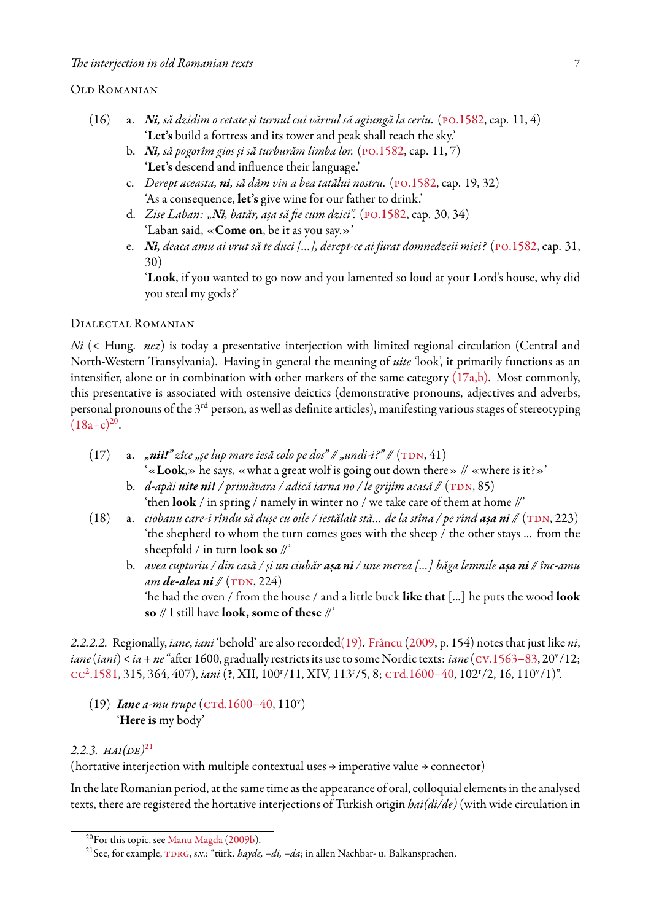# Old Romanian

- <span id="page-6-0"></span>(16) a. *Ni, să dzidim o cetate și turnul cui vărvul să agiungă la ceriu.* [\(po.1582,](#page-15-9) cap. 11, 4) '**Let's** build a fortress and its tower and peak shall reach the sky.'
	- b. *Ni, să pogorîm gios și să turburăm limba lor.* ([po.1582,](#page-15-9) cap. 11, 7) '**Let's** descend and influence their language.'
	- c. *Derept aceasta, ni, să dăm vin a bea tatălui nostru.* [\(po.1582](#page-15-9), cap. 19, 32) 'As a consequence, **let's** give wine for our father to drink.'
	- d. *Zise Laban: "Ni, batăr, așa să fie cum dzici".* [\(po.1582,](#page-15-9) cap. 30, 34) 'Laban said, «**Come on**, be it as you say.»'
	- e. *Ni, deaca amu ai vrut să te duci […], derept-ce ai furat domnedzeii miei?* ([po.1582](#page-15-9), cap. 31, 30)

'**Look**, if you wanted to go now and you lamented so loud at your Lord's house, why did you steal my gods?'

## Dialectal Romanian

*Ni* (< Hung. *nez*) is today a presentative interjection with limited regional circulation (Central and North-Western Transylvania). Having in general the meaning of *uite* 'look', it primarily functions as an intensifier, alone or in combination with other markers of the same category  $(17a,b)$ . Most commonly, this presentative is associated with ostensive deictics (demonstrative pronouns, adjectives and adverbs, personal pronouns of the 3rd person, as well as definite articles), manifesting various stages of stereotyping  $(18a-c)^{20}$  $(18a-c)^{20}$  $(18a-c)^{20}$ .

<span id="page-6-1"></span>(17) a.  $\pi$ *nii!*" zîce  $\pi$ se lup mare iesă colo pe dos" //  $\pi$ *undi-i?*" // ( $TDN$ , 41)

'«**Look**,» he says, «what a great wolf is going out down there» // «where is it?»'

- b. *d-apăi* **uite ni!** / primăvara / adică iarna no / le grijîm acasă // (TDN, 85) 'then **look** / in spring / namely in winter no / we take care of them at home //'
- <span id="page-6-2"></span>(18) a. *ciobanu care-i rîndu să dușe cu oile / iestălalt stă... de la stîna / pe rînd așa ni //* ([tdn,](#page-15-16) 223) 'the shepherd to whom the turn comes goes with the sheep / the other stays ... from the sheepfold / in turn **look so** //'
	- b. *avea cuptoriu / din casă / și un ciubăr așa ni / une merea [...] băga lemnile așa ni // înc-amu am de-alea ni* // (TDN, 224)

'he had the oven / from the house / and a little buck **like that** [...] he puts the wood **look so** // I still have **look, some of these** //'

*2.2.2.2.* Regionally, *iane*, *iani* 'behold' are also recorded[\(19\)](#page-6-4). [Frâncu](#page-15-1) [\(2009,](#page-15-1) p. 154) notes that just like *ni*, *iane (iani) < ia + ne* "after 1600, gradually restricts its use to some Nordic texts: *iane* (Cv.1563–83, 20<sup>v</sup>/12; cc<sup>2</sup>[.1581,](#page-15-4) 315, 364, 407), *iani* (?, XII, 100<sup>r</sup>/11, XIV, 113<sup>r</sup>/5, 8; crd.1600-40, 102<sup>r</sup>/2, 16, 110<sup>v</sup>/1)".

<span id="page-6-4"></span>(19) *Iane a-mu trupe* (CTd.1600-40, 110<sup>v</sup>) '**Here is** my body'

# 2.2.3.  $HAI(DE)^{21}$  $HAI(DE)^{21}$  $HAI(DE)^{21}$

(hortative interjection with multiple contextual uses  $\rightarrow$  imperative value  $\rightarrow$  connector)

In the late Romanian period, at the same time as the appearance of oral, colloquial elements in the analysed texts, there are registered the hortative interjections of Turkish origin *hai(di/de)* (with wide circulation in

<span id="page-6-3"></span><sup>&</sup>lt;sup>20</sup>For this topic, see Manu Magda (2009b).

<span id="page-6-5"></span><sup>&</sup>lt;sup>21</sup> See, for example, TDRG, s.v.: "türk. *hayde, -di, -da*; in allen Nachbar- u. Balkansprachen.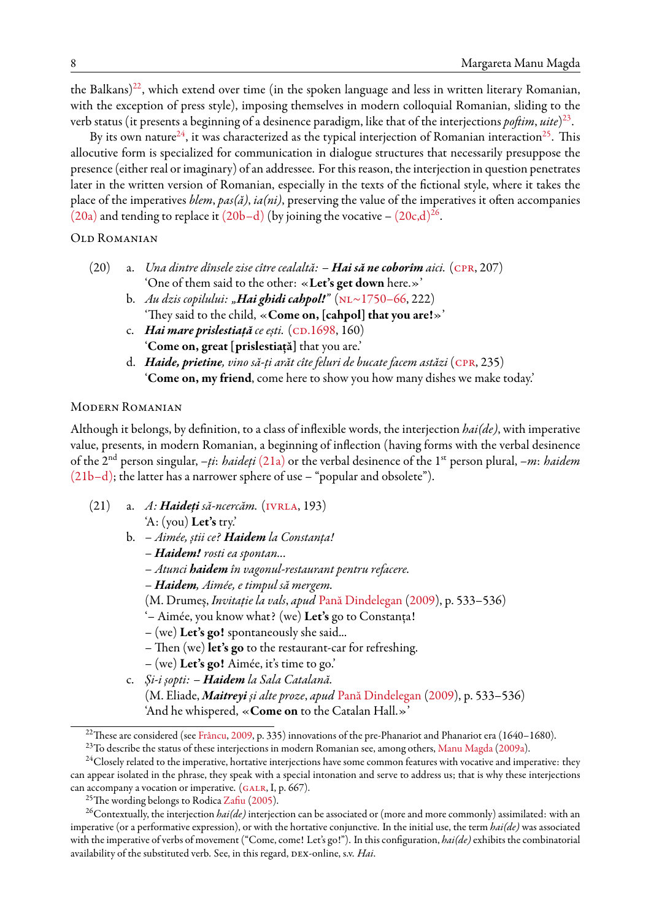the Balkans)<sup>[22](#page-7-0)</sup>, which extend over time (in the spoken language and less in written literary Romanian, with the exception of press style), imposing themselves in modern colloquial Romanian, sliding to the verb status (it presents a beginning of a desinence paradigm, like that of the interjections *poftim*, *uite*) [23](#page-7-1) .

By its own nature<sup>[24](#page-7-2)</sup>, it was characterized as the typical interjection of Romanian interaction<sup>[25](#page-7-3)</sup>. This allocutive form is specialized for communication in dialogue structures that necessarily presuppose the presence (either real or imaginary) of an addressee. For this reason, the interjection in question penetrates later in the written version of Romanian, especially in the texts of the fictional style, where it takes the place of the imperatives *blem*, *pas(ă)*, *ia(ni)*, preserving the value of the imperatives it often accompanies [\(20a\)](#page-7-4) and tending to replace it (20b-d) (by joining the vocative -  $(20c,d)^{26}$  $(20c,d)^{26}$  $(20c,d)^{26}$  $(20c,d)^{26}$ .

#### Old Romanian

- <span id="page-7-4"></span>(20) a. *Una dintre dînsele zise cître cealaltă: – Hai să ne coborîm aici.* [\(cpr](#page-15-18), 207) 'One of them said to the other: «**Let's get down** here.»'
	- b. *Au dzis copilului: "Hai ghidi cahpol!"* ([nl~1750–66,](#page-15-19) 222) 'They said to the child, «**Come on, [cahpol] that you are!**»'
	- c. *Hai mare prislestiață ce ești.* (CD.1698, 160) '**Come on, great [prislestiață]** that you are.'
	- d. *Haide, prietine, vino să-ți arăt cîte feluri de bucate facem astăzi* [\(cpr,](#page-15-18) 235) '**Come on, my friend**, come here to show you how many dishes we make today.'

### Modern Romanian

Although it belongs, by definition, to a class of inflexible words, the interjection *hai(de)*, with imperative value, presents, in modern Romanian, a beginning of inflection (having forms with the verbal desinence of the 2nd person singular, *–ți*: *haideți* [\(21a\)](#page-7-6) or the verbal desinence of the 1st person plural, *–m*: *haidem* [\(21b–d\);](#page-7-6) the latter has a narrower sphere of use – "popular and obsolete").

- <span id="page-7-6"></span>(21) a. *A: Haideți să-ncercăm.* [\(ivrla](#page-15-20), 193) 'A: (you) **Let's** try.'
	- b.  *Aimée, știi ce? Haidem la Constanța!*
		- *– Haidem! rosti ea spontan...*
		- *Atunci haidem în vagonul-restaurant pentru refacere.*
		- *– Haidem, Aimée, e timpul să mergem.*
		- (M. Drumeș, *Invitație la vals*, *apud* [Pană Dindelegan](#page-16-11) ([2009\)](#page-16-11), p. 533–536)
		- '– Aimée, you know what? (we) **Let's** go to Constanța!
		- (we) **Let's go!** spontaneously she said...
		- Then (we) **let's go** to the restaurant-car for refreshing.
		- (we) **Let's go!** Aimée, it's time to go.'
	- c. *Și-i șopti: – Haidem la Sala Catalană.*

(M. Eliade, *Maitreyi și alte proze*, *apud* [Pană Dindelegan](#page-16-11) [\(2009](#page-16-11)), p. 533–536) 'And he whispered, «**Come on** to the Catalan Hall.»'

<span id="page-7-0"></span><sup>&</sup>lt;sup>22</sup>These are considered (see [Frâncu](#page-15-1), [2009,](#page-15-1) p. 335) innovations of the pre-Phanariot and Phanariot era (1640–1680).

<span id="page-7-2"></span><span id="page-7-1"></span><sup>&</sup>lt;sup>23</sup>To describe the status of these interjections in modern Romanian see, among others, Manu Magda (2009a).

<sup>&</sup>lt;sup>24</sup>Closely related to the imperative, hortative interjections have some common features with vocative and imperative: they can appear isolated in the phrase, they speak with a special intonation and serve to address us; that is why these interjections canaccompany a vocation or imperative.  $(GALR, I, p. 667)$ .

<span id="page-7-5"></span><span id="page-7-3"></span><sup>&</sup>lt;sup>25</sup>The wording belongs to Rodica [Zafiu](#page-16-12) [\(2005\)](#page-16-12).

<sup>26</sup>Contextually, the interjection *hai(de)* interjection can be associated or (more and more commonly) assimilated: with an imperative (or a performative expression), or with the hortative conjunctive. In the initial use, the term *hai(de)* was associated with the imperative of verbs of movement ("Come, come! Let's go!"). In this configuration, *hai(de)*exhibits the combinatorial availability of the substituted verb. See, in this regard, DEX-online, s.v. *Hai*.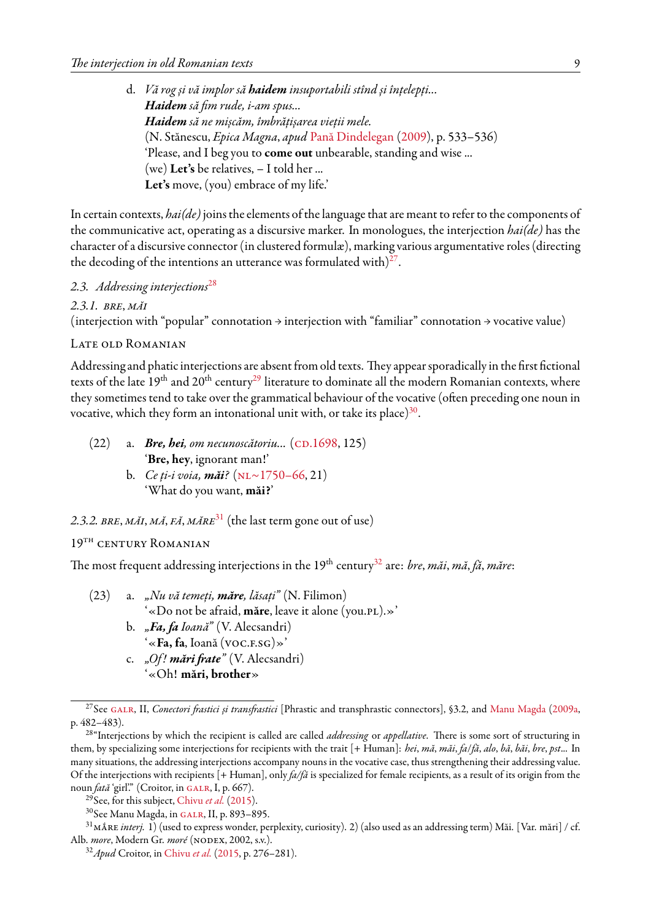d. *Vă rog și vă implor să haidem insuportabili stînd și înțelepți... Haidem să fim rude, i-am spus... Haidem să ne mișcăm, îmbrățișarea vieții mele.* (N. Stănescu, *Epica Magna*, *apud* [Pană Dindelegan](#page-16-11) ([2009](#page-16-11)), p. 533–536) 'Please, and I beg you to **come out** unbearable, standing and wise ... (we) **Let's** be relatives, – I told her ... **Let's** move, (you) embrace of my life.'

In certain contexts, *hai(de)*joins the elements of the language that are meant to refer to the components of the communicative act, operating as a discursive marker. In monologues, the interjection *hai(de)* has the character of a discursive connector (in clustered formulæ), marking various argumentative roles (directing the decoding of the intentions an utterance was formulated with) $27$ .

# *2.3. Addressing interjections*[28](#page-8-2)

*2.3.1. bre*, *măi*

(interjection with "popular" connotation  $\rightarrow$  interjection with "familiar" connotation  $\rightarrow$  vocative value)

#### LATE OLD ROMANIAN

Addressing and phatic interjections are absent from old texts. They appear sporadically in the first fictional texts of the late  $19<sup>th</sup>$  and  $20<sup>th</sup>$  century<sup>[29](#page-8-3)</sup> literature to dominate all the modern Romanian contexts, where they sometimes tend to take over the grammatical behaviour of the vocative (often preceding one noun in vocative, which they form an intonational unit with, or take its place) $^{30}.$  $^{30}.$  $^{30}.$ 

<span id="page-8-0"></span>(22) a. *Bre, hei, om necunoscătoriu...* (CD.1698, 125) '**Bre, hey**, ignorant man!' b. *Ce ți-i voia, măi?* [\(nl~1750–66,](#page-15-19) 21) 'What do you want, **măi?**'

# *2.3.2. bre*, *măi*, *mă*, *fă*, *măre*[31](#page-8-5) (the last term gone out of use)

# 19<sup>th</sup> CENTURY ROMANIAN

The most frequent addressing interjections in the 19th century[32](#page-8-6) are: *bre*, *măi*, *mă*, *fă*, *măre*:

(23) a. *"Nu vă temeți, măre, lăsați"* (N. Filimon) '«Do not be afraid, **măre**, leave it alone (you.pl).»' b. *"Fa, fa Ioană"* (V. Alecsandri) '«**Fa, fa**, Ioană (voc.f.sg)»' c. *"Of ! mări frate"* (V. Alecsandri) '«Oh! **mări, brother**»

<span id="page-8-3"></span><sup>29</sup>See, for this subject, [Chivu](#page-15-21) *et al.* ([2015](#page-15-21)).

<span id="page-8-1"></span><sup>&</sup>lt;sup>27</sup>See GALR, II, *Conectori frastici și transfrastici* [Phrastic and transphrastic connectors], §3.2, and [Manu Magda](#page-16-8) [\(2009a,](#page-16-8) p. 482–483).

<span id="page-8-2"></span><sup>28</sup>"Interjections by which the recipient is called are called *addressing* or *appellative*. There is some sort of structuring in them, by specializing some interjections for recipients with the trait [+ Human]: *hei*, *mă*, *măi*, *fa*/*fă*, *alo*, *bă*, *băi*, *bre*, *pst*... In many situations, the addressing interjections accompany nouns in the vocative case, thus strengthening their addressing value. Of the interjections with recipients [+ Human], only *fa/fă* is specialized for female recipients, as a result of its origin from the noun *fată* 'girl'." (Croitor, in GALR, I, p. 667).

<span id="page-8-5"></span><span id="page-8-4"></span><sup>&</sup>lt;sup>30</sup>See Manu Magda, in GALR, II, p. 893-895.

<sup>&</sup>lt;sup>31</sup>MĂRE *interj.* 1) (used to express wonder, perplexity, curiosity). 2) (also used as an addressing term) Măi. [Var. mări] / cf. Alb. *more*, Modern Gr. *moré* (nodex, 2002, s.v.).

<span id="page-8-6"></span><sup>32</sup>*Apud* Croitor, in [Chivu](#page-15-21) *et al.* [\(2015,](#page-15-21) p. 276–281).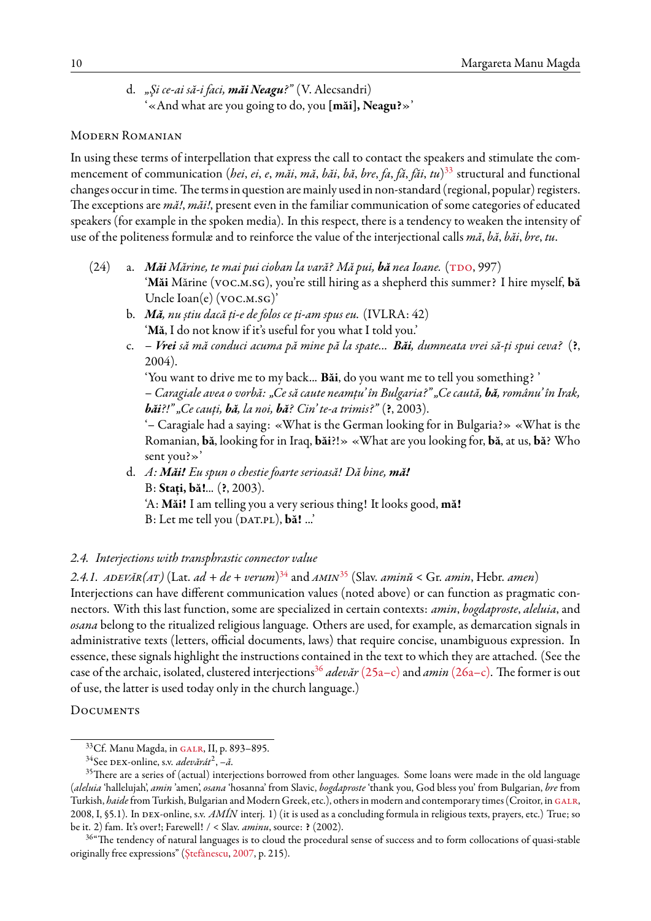d. *"Şi ce-ai să-i faci, măi Neagu?"* (V. Alecsandri) '«And what are you going to do, you **[măi], Neagu?**»'

#### Modern Romanian

In using these terms of interpellation that express the call to contact the speakers and stimulate the commencement of communication (*hei*, *ei*, *e*, *măi*, *mă*, *băi*, *bă*, *bre*, *fa*, *fă*, *făi*, *tu*) [33](#page-9-0) structural and functional changes occur in time. The terms in question are mainly used in non-standard (regional, popular) registers. The exceptions are *mă!*, *măi!*, present even in the familiar communication of some categories of educated speakers (for example in the spoken media). In this respect, there is a tendency to weaken the intensity of use of the politeness formulæ and to reinforce the value of the interjectional calls *mă*, *bă*, *băi*, *bre*, *tu*.

- (24) a. *Măi Mărine, te mai pui cioban la vară? Mă pui, bă nea Ioane.* (TDO, 997) '**Măi** Mărine (voc.m.sg), you're still hiring as a shepherd this summer? I hire myself, **bă** Uncle Ioan(e) (VOC.M.SG)'
	- b. *Mă, nu știu dacă ți-e de folos ce ți-am spus eu.* (IVLRA: 42) '**Mă**, I do not know if it's useful for you what I told you.'
	- c. *Vrei să mă conduci acuma pă mine pă la spate... Băi, dumneata vrei să-ți spui ceva?* (**?**, 2004).

'You want to drive me to my back... **Băi**, do you want me to tell you something? ' – *Caragiale avea o vorbă: "Ce să caute neamțu' în Bulgaria?" "Ce caută, bă, românu' în Irak, băi?!" "Ce cauți, bă, la noi, bă? Cin' te-a trimis?"* (**?**, 2003).

'– Caragiale had a saying: «What is the German looking for in Bulgaria?» «What is the Romanian, **bă**, looking for in Iraq, **băi**?!» «What are you looking for, **bă**, at us, **bă**? Who sent you?»'

d. *A: Măi! Eu spun o chestie foarte serioasă! Dă bine, mă!* B: **Stați, bă!**... (**?**, 2003). 'A: **Măi!** I am telling you a very serious thing! It looks good, **mă!** B: Let me tell you (DAT.PL), **bă!** ...'

## *2.4. Interjections with transphrastic connector value*

*2.4.1. adevăr(at)* (Lat. *ad* + *de* + *verum*) [34](#page-9-1) and *amin*[35](#page-9-2) (Slav. *aminŭ* < Gr. *amin*, Hebr. *amen*)

Interjections can have different communication values (noted above) or can function as pragmatic connectors. With this last function, some are specialized in certain contexts: *amin*, *bogdaproste*, *aleluia*, and *osana* belong to the ritualized religious language. Others are used, for example, as demarcation signals in administrative texts (letters, official documents, laws) that require concise, unambiguous expression. In essence, these signals highlight the instructions contained in the text to which they are attached. (See the case of the archaic, isolated, clustered interjections<sup>[36](#page-9-3)</sup> *adevăr* [\(25a–c\)](#page-10-0) and *amin* [\(26a–c\).](#page-10-1) The former is out of use, the latter is used today only in the church language.)

#### **DOCUMENTS**

<span id="page-9-0"></span><sup>&</sup>lt;sup>33</sup>Cf. Manu Magda, in GALR, II, p. 893-895.

<span id="page-9-2"></span><span id="page-9-1"></span><sup>34</sup>See dex-online, s.v. *adevărát*<sup>2</sup> , *–ă*.

<sup>&</sup>lt;sup>35</sup>There are a series of (actual) interjections borrowed from other languages. Some loans were made in the old language (*aleluia* 'hallelujah', *amin* 'amen', *osana* 'hosanna' from Slavic, *bogdaproste* 'thank you, God bless you' from Bulgarian, *bre* from Turkish, *haide* from Turkish, Bulgarian and Modern Greek, etc.), others in modern and contemporary times (Croitor, in GALR, 2008, I, §5.1). In dex-online, s.v. *AMÍN* interj. 1) (it is used as a concluding formula in religious texts, prayers, etc.) True; so be it. 2) fam. It's over!; Farewell! / < Slav. *aminu*, source: **?** (2002).

<span id="page-9-3"></span><sup>&</sup>lt;sup>36</sup> The tendency of natural languages is to cloud the procedural sense of success and to form collocations of quasi-stable originally free expressions" [\(Ștefănescu,](#page-16-13) [2007](#page-16-13), p. 215).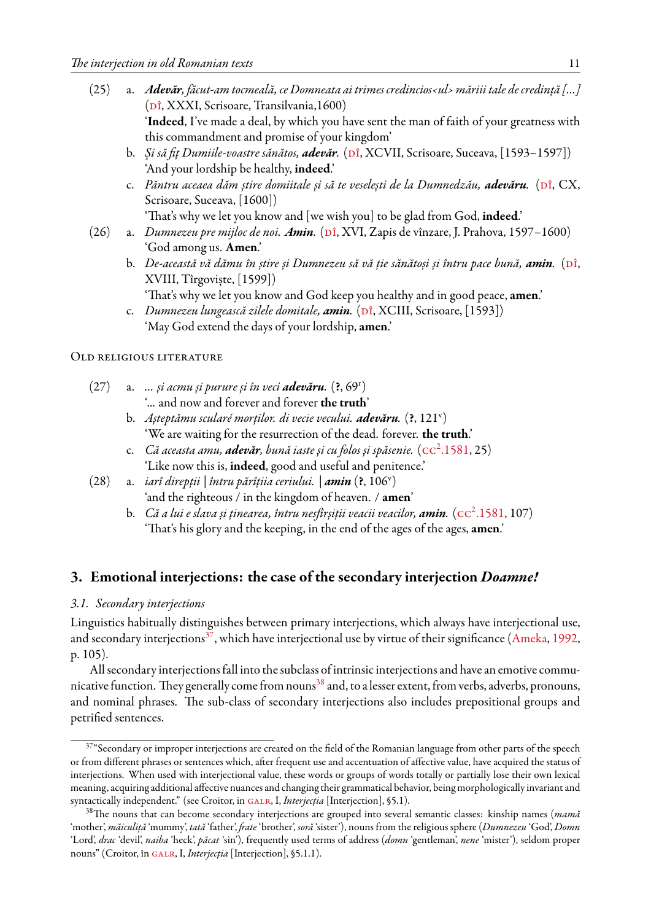- <span id="page-10-0"></span>(25) a. *Adevăr, făcut-am tocmeală, ce Domneata ai trimes credincios‹ul› măriii tale de credință […]* ( $\overline{p}$ î, XXXI, Scrisoare, Transilvania,1600) '**Indeed**, I've made a deal, by which you have sent the man of faith of your greatness with this commandment and promise of your kingdom'
	- b. *Și să fiț Dumiile-voastre sănătos, adevăr.* (pî, XCVII, Scrisoare, Suceava, [1593–1597]) 'And your lordship be healthy, **indeed**.'
	- c. Păntru aceaea dăm știre domiitale și să te veselești de la Dumnedzău, adevăru. (Dî, CX, Scrisoare, Suceava, [1600])

'That's why we let you know and [we wish you] to be glad from God, **indeed**.'

- <span id="page-10-1"></span>(26) a. *Dumnezeu pre mijloc de noi. Amin.* (Dî, XVI, Zapis de vînzare, J. Prahova, 1597–1600) 'God among us. **Amen**.'
	- b. *De-această vă dămu în știre și Dumnezeu să vă ție sănătoși și întru pace bună*, **amin**. (Dî, XVIII, Tîrgoviște, [1599])

'That's why we let you know and God keep you healthy and in good peace, **amen**.'

c. *Dumnezeu lungească zilele domitale, amin.* (pî, XCIII, Scrisoare, [1593]) 'May God extend the days of your lordship, **amen**.'

#### Old religious literature

- (27) a. *... și acmu și purure și în veci adevăru.* (**?**, 69<sup>r</sup> ) '... and now and forever and forever **the truth**'
	- b. *Așteptămu scularé morților. di vecie vecului. adevăru.* (**?**, 121<sup>v</sup> ) 'We are waiting for the resurrection of the dead. forever. **the truth**.'
	- c. Că aceasta amu, **adevăr**, bună iaste și cu folos și spăsenie. ( $\text{cc}^2.1581, 25)$  $\text{cc}^2.1581, 25)$  $\text{cc}^2.1581, 25)$ 'Like now this is, **indeed**, good and useful and penitence.'
- (28) a. *iarî direpții | întru părîțiia ceriului. | amin* (**?**, 106<sup>v</sup> ) 'and the righteous / in the kingdom of heaven. / **amen**'
	- b. Că a lui e slava și ținearea, întru nesfîrșiții veacii veacilor, **amin**. ( $\text{cc}^2.1581, 107)$  $\text{cc}^2.1581, 107)$  $\text{cc}^2.1581, 107)$ 'That's his glory and the keeping, in the end of the ages of the ages, **amen**.'

# **3. Emotional interjections: the case of the secondary interjection** *Doamne!*

# *3.1. Secondary interjections*

Linguistics habitually distinguishes between primary interjections, which always have interjectional use, and secondary interjections<sup>[37](#page-10-2)</sup>, which have interjectional use by virtue of their significance [\(Ameka](#page-15-22), [1992](#page-15-22), p. 105).

All secondary interjections fall into the subclass of intrinsic interjections and have an emotive commu-nicative function. They generally come from nouns<sup>[38](#page-10-3)</sup> and, to a lesser extent, from verbs, adverbs, pronouns, and nominal phrases. The sub-class of secondary interjections also includes prepositional groups and petrified sentences.

<span id="page-10-2"></span><sup>&</sup>lt;sup>37</sup>"Secondary or improper interjections are created on the field of the Romanian language from other parts of the speech or from different phrases or sentences which, after frequent use and accentuation of affective value, have acquired the status of interjections. When used with interjectional value, these words or groups of words totally or partially lose their own lexical meaning, acquiring additional affective nuances and changing their grammatical behavior, being morphologically invariant and syntactically independent." (see Croitor, in GALR, I, *Interjecția* [Interjection], §5.1).

<span id="page-10-3"></span><sup>38</sup>The nouns that can become secondary interjections are grouped into several semantic classes: kinship names (*mamă* 'mother', *măiculiță* 'mummy', *tată* 'father', *frate* 'brother', *soră* 'sister'), nouns from the religious sphere (*Dumnezeu* 'God', *Domn* 'Lord', *drac* 'devil', *naiba* 'heck', *păcat* 'sin'), frequently used terms of address (*domn* 'gentleman', *nene* 'mister'), seldom proper nouns" (Croitor, în GALR, I, *Interjecția* [Interjection], §5.1.1).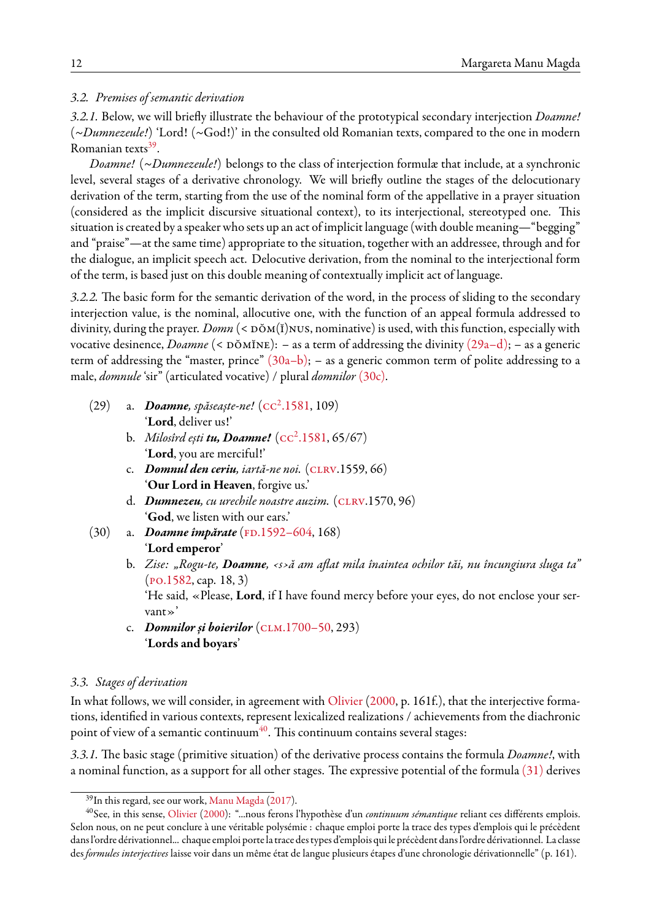### *3.2. Premises of semantic derivation*

*3.2.1.* Below, we will briefly illustrate the behaviour of the prototypical secondary interjection *Doamne!* (*~Dumnezeule!*) 'Lord! (~God!)' in the consulted old Romanian texts, compared to the one in modern Romanian texts<sup>[39](#page-11-0)</sup>.

*Doamne!* (*~Dumnezeule!*) belongs to the class of interjection formulæ that include, at a synchronic level, several stages of a derivative chronology. We will briefly outline the stages of the delocutionary derivation of the term, starting from the use of the nominal form of the appellative in a prayer situation (considered as the implicit discursive situational context), to its interjectional, stereotyped one. This situation is created by a speaker who sets up an act of implicit language (with double meaning—"begging" and "praise"—at the same time) appropriate to the situation, together with an addressee, through and for the dialogue, an implicit speech act. Delocutive derivation, from the nominal to the interjectional form of the term, is based just on this double meaning of contextually implicit act of language.

*3.2.2.* The basic form for the semantic derivation of the word, in the process of sliding to the secondary interjection value, is the nominal, allocutive one, with the function of an appeal formula addressed to divinity, during the prayer. *Domn* (<  $\overline{D\ddot{o}M}(\check{I})$ NUS, nominative) is used, with this function, especially with vocative desinence, *Doamne* (< DŎMĬNE): – as a term of addressing the divinity [\(29a–d\);](#page-11-1) – as a generic term of addressing the "master, prince"  $(30a-b)$ ; – as a generic common term of polite addressing to a male, *domnule* 'sir" (articulated vocative) / plural *domnilor* [\(30c\)](#page-11-2).

- <span id="page-11-1"></span>(29) a. Doamne, spăseaște-ne! (cc<sup>2</sup>[.1581,](#page-15-4) 109) '**Lord**, deliver us!'
	- b. Milosîrd ești **tu, Doamne!** ( $cc^2$ [.1581](#page-15-4), 65/67) '**Lord**, you are merciful!'
	- c. *Domnul den ceriu, iartă-ne noi.* [\(clrv](#page-15-23).1559, 66) '**Our Lord in Heaven**, forgive us.'
	- d. *Dumnezeu, cu urechile noastre auzim.* ([clrv](#page-15-23).1570, 96) '**God**, we listen with our ears.'
- <span id="page-11-2"></span>(30) a. *Doamne împărate* (FD.1592–604, 168) '**Lord emperor**'
	- b. *Zise: "Rogu-te, Doamne, ‹s›ă am aflat mila înaintea ochilor tăi, nu încungiura sluga ta"* ([po.1582](#page-15-9), cap. 18, 3)

'He said, «Please, **Lord**, if I have found mercy before your eyes, do not enclose your servant»'

c. *Domnilor și boierilor* ([clm.1700–50,](#page-15-25) 293) '**Lords and boyars**'

#### *3.3. Stages of derivation*

In what follows, we will consider, in agreement with [Olivier](#page-16-14) [\(2000,](#page-16-14) p. 161f.), that the interjective formations, identified in various contexts, represent lexicalized realizations / achievements from the diachronic point of view of a semantic continuum<sup>[40](#page-11-3)</sup>. This continuum contains several stages:

*3.3.1.* The basic stage (primitive situation) of the derivative process contains the formula *Doamne!*, with a nominal function, as a support for all other stages. The expressive potential of the formula [\(31\)](#page-12-0) derives

<span id="page-11-3"></span><span id="page-11-0"></span><sup>&</sup>lt;sup>39</sup>In this regard, see our work, Manu Magda (2017).

<sup>40</sup>See, in this sense, [Olivier](#page-16-14) [\(2000\)](#page-16-14): "...nous ferons l'hypothèse d'un *continuum sémantique* reliant ces différents emplois. Selon nous, on ne peut conclure à une véritable polysémie : chaque emploi porte la trace des types d'emplois qui le précèdent dans l'ordre dérivationnel... chaque emploi porte la trace des types d'emplois qui le précèdent dans l'ordre dérivationnel. La classe des *formules interjectives* laisse voir dans un même état de langue plusieurs étapes d'une chronologie dérivationnelle" (p. 161).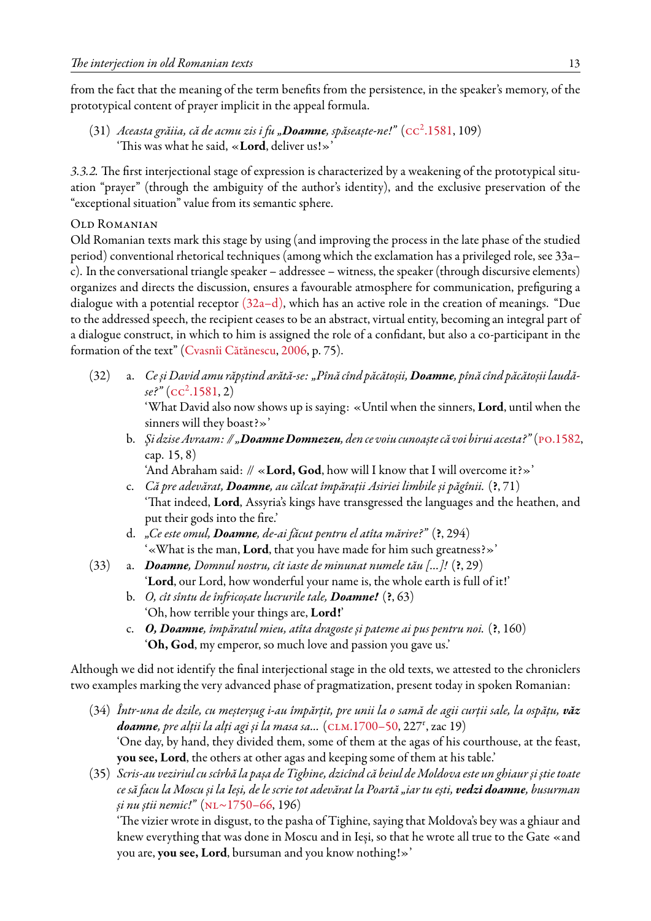from the fact that the meaning of the term benefits from the persistence, in the speaker's memory, of the prototypical content of prayer implicit in the appeal formula.

<span id="page-12-0"></span>(31) *Aceasta grăiia, că de acmu zis i fu "Doamne, spăseaște-ne!"* (cc<sup>2</sup> [.1581](#page-15-4), 109) 'This was what he said, «**Lord**, deliver us!»'

*3.3.2.* The first interjectional stage of expression is characterized by a weakening of the prototypical situation "prayer" (through the ambiguity of the author's identity), and the exclusive preservation of the "exceptional situation" value from its semantic sphere.

# Old Romanian

Old Romanian texts mark this stage by using (and improving the process in the late phase of the studied period) conventional rhetorical techniques (among which the exclamation has a privileged role, see 33a– c). In the conversational triangle speaker – addressee – witness, the speaker (through discursive elements) organizes and directs the discussion, ensures a favourable atmosphere for communication, prefiguring a dialogue with a potential receptor  $(32a-d)$ , which has an active role in the creation of meanings. "Due to the addressed speech, the recipient ceases to be an abstract, virtual entity, becoming an integral part of a dialogue construct, in which to him is assigned the role of a confidant, but also a co-participant in the formation of the text" [\(Cvasnîi Cătănescu](#page-15-26), [2006,](#page-15-26) p. 75).

<span id="page-12-1"></span>(32) a. *Ce și David amu răpștind arătă-se: "Pînă cînd păcătoșii, Doamne, pînă cînd păcătoșii laudăse?"* (cc<sup>2</sup> [.1581](#page-15-4), 2)

'What David also now shows up is saying: «Until when the sinners, **Lord**, until when the sinners will they boast?»'

b. *Şi dzise Avraam: // "Doamne Domnezeu, den ce voiu cunoaște că voi birui acesta?"* [\(po.1582](#page-15-9), cap. 15, 8)

'And Abraham said: // «**Lord, God**, how will I know that I will overcome it?»'

- c. *Că pre adevărat, Doamne, au călcat împărații Asiriei limbile și păgînii.* (**?**, 71) 'That indeed, **Lord**, Assyria's kings have transgressed the languages and the heathen, and put their gods into the fire.'
- d. *"Ce este omul, Doamne, de-ai făcut pentru el atîta mărire?"* (**?**, 294) '«What is the man, **Lord**, that you have made for him such greatness?»'
- (33) a. *Doamne, Domnul nostru, cît iaste de minunat numele tău […]!* (**?**, 29) '**Lord**, our Lord, how wonderful your name is, the whole earth is full of it!'
	- b. *O, cît sîntu de înfricoșate lucrurile tale, Doamne!* (**?**, 63) 'Oh, how terrible your things are, **Lord!**'
	- c. *O, Doamne, împăratul mieu, atîta dragoste și pateme ai pus pentru noi.* (**?**, 160) '**Oh, God**, my emperor, so much love and passion you gave us.'

Although we did not identify the final interjectional stage in the old texts, we attested to the chroniclers two examples marking the very advanced phase of pragmatization, present today in spoken Romanian:

- (34) *Într-una de dzile, cu meșterșug i-au împărțit, pre unii la o samă de agii curții sale, la ospățu, văz* **doamne**, pre alții la alți agi și la masa sa... (CLM.1700–50, 227<sup>r</sup>, zac 19) 'One day, by hand, they divided them, some of them at the agas of his courthouse, at the feast, **you see, Lord**, the others at other agas and keeping some of them at his table.'
- (35) *Scris-au veziriul cu scîrbă la pașa de Tighine, dzicînd că beiul de Moldova este un ghiaur și știe toate ce să facu la Moscu și la Ieși, de le scrie tot adevărat la Poartă "iar tu ești, vedzi doamne, busurman și nu știi nemic!"* [\(nl~1750–66](#page-15-19), 196)

'The vizier wrote in disgust, to the pasha of Tighine, saying that Moldova's bey was a ghiaur and knew everything that was done in Moscu and in Ieși, so that he wrote all true to the Gate «and you are, **you see, Lord**, bursuman and you know nothing!»'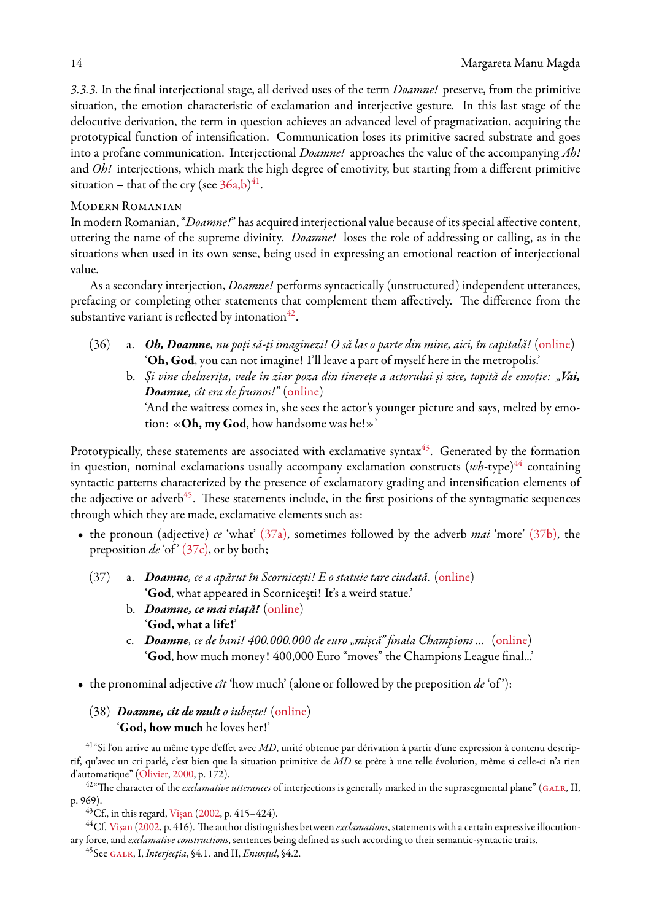*3.3.3.* In the final interjectional stage, all derived uses of the term *Doamne!* preserve, from the primitive situation, the emotion characteristic of exclamation and interjective gesture. In this last stage of the delocutive derivation, the term in question achieves an advanced level of pragmatization, acquiring the prototypical function of intensification. Communication loses its primitive sacred substrate and goes into a profane communication. Interjectional *Doamne!* approaches the value of the accompanying *Ah!* and *Oh!* interjections, which mark the high degree of emotivity, but starting from a different primitive situation – that of the cry (see  $36a,b)^{41}$  $36a,b)^{41}$  $36a,b)^{41}$  $36a,b)^{41}$ .

#### Modern Romanian

In modern Romanian, "*Doamne!*" has acquired interjectional value because of its special affective content, uttering the name of the supreme divinity. *Doamne!* loses the role of addressing or calling, as in the situations when used in its own sense, being used in expressing an emotional reaction of interjectional value.

As a secondary interjection, *Doamne!* performs syntactically (unstructured) independent utterances, prefacing or completing other statements that complement them affectively. The difference from the substantive variant is reflected by intonation $^{42}.$  $^{42}.$  $^{42}.$ 

- <span id="page-13-0"></span>(36) a. *Oh, Doamne, nu poți să-ți imaginezi! O să las o parte din mine, aici, în capitală!* ([online\)](http://www.sport.ro/) '**Oh, God**, you can not imagine! I'll leave a part of myself here in the metropolis.'
	- b. *Și vine chelnerița, vede în ziar poza din tinerețe a actorului și zice, topită de emoție: "Vai, Doamne, cît era de frumos!"* ([online\)](http://www.desteptarea.ro/bricolaje-vai-doamne-cat-era-de-frumos/)

'And the waitress comes in, she sees the actor's younger picture and says, melted by emotion: «**Oh, my God**, how handsome was he!»'

Prototypically, these statements are associated with exclamative syntax $43$ . Generated by the formation in question, nominal exclamations usually accompany exclamation constructs  $(wh$ -type)<sup>[44](#page-13-4)</sup> containing syntactic patterns characterized by the presence of exclamatory grading and intensification elements of the adjective or adverb<sup>[45](#page-13-5)</sup>. These statements include, in the first positions of the syntagmatic sequences through which they are made, exclamative elements such as:

- <span id="page-13-6"></span>• the pronoun (adjective) *ce* 'what' [\(37a\),](#page-13-6) sometimes followed by the adverb *mai* 'more' [\(37b\),](#page-13-6) the preposition *de* 'of' [\(37c\),](#page-13-6) or by both;
	- (37) a. *Doamne, ce a apărut în Scornicești! E o statuie tare ciudată.* [\(online](http://www.wowbiz.ro/doamne--ce-a-aparut-in-scornicesti-e-o-statuie-tare-ciudata-poate- aj)) '**God**, what appeared in Scornicești! It's a weird statue.'
		- b. *Doamne, ce mai viață!* ([online\)](https://www.youtube.com/watch?v=TzeTxzYxsrc) '**God, what a life!**'
		- c. *Doamne, ce de bani! 400.000.000 de euro "mișcă" finala Champions ...* ([online\)](http://sport1x2.ro/news/doamne-ce-de-bani-400000000-de-euro-misca-finala-champions-league-din-acesta-seara-id9684.html) '**God**, how much money! 400,000 Euro "moves" the Champions League final...'
- the pronominal adjective *cît* 'how much' (alone or followed by the preposition *de* 'of '):
	- (38) *Doamne, cît de mult o iubește!* [\(online](http://www.wowbiz.ro/doamne--cat-de-mult-o-iubeste-alex-velea--declaratie-uriasa-de- iubire)) '**God, how much** he loves her!'

<span id="page-13-1"></span><sup>41</sup>"Si l'on arrive au même type d'effet avec *MD*, unité obtenue par dérivation à partir d'une expression à contenu descriptif, qu'avec un cri parlé, c'est bien que la situation primitive de *MD* se prête à une telle évolution, même si celle-ci n'a rien d'automatique" [\(Olivier,](#page-16-14) [2000](#page-16-14), p. 172).

<span id="page-13-2"></span><sup>&</sup>lt;sup>42</sup>"The character of the *exclamative utterances* of interjections is generally marked in the suprasegmental plane" (GALR, II, p. 969).

<span id="page-13-4"></span><span id="page-13-3"></span> $^{43}$ Cf., in this regard, Visan ([2002](#page-16-16), p. 415–424).

<sup>&</sup>lt;sup>44</sup>Cf. [Vișan](#page-16-16) ([2002,](#page-16-16) p. 416). The author distinguishes between *exclamations*, statements with a certain expressive illocutionary force, and *exclamative constructions*, sentences being defined as such according to their semantic-syntactic traits.

<span id="page-13-5"></span><sup>45</sup>See [galr,](#page-16-1) I, *Interjecția*, §4.1. and II, *Enunțul*, §4.2.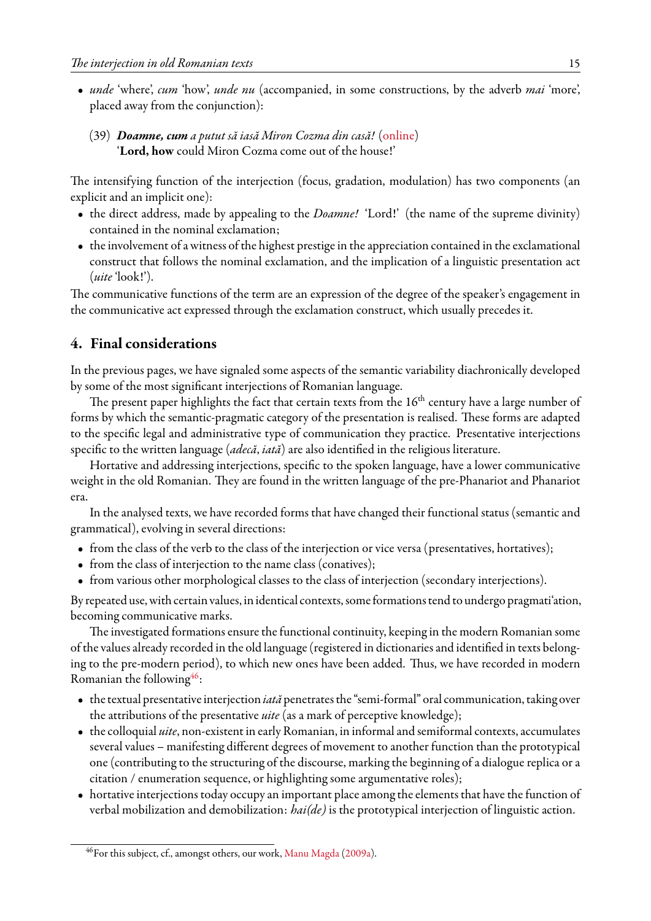- *unde* 'where', *cum* 'how', *unde nu* (accompanied, in some constructions, by the adverb *mai* 'more', placed away from the conjunction):
	- (39) *Doamne, cum a putut să iasă Miron Cozma din casă!* [\(online](http://www.wowbiz.ro/doamne-cum-a-putut-sa-iasa-miron-cozma-din-casa-apurtat-cea-mai...)) '**Lord, how** could Miron Cozma come out of the house!'

The intensifying function of the interjection (focus, gradation, modulation) has two components (an explicit and an implicit one):

- the direct address, made by appealing to the *Doamne!* 'Lord!' (the name of the supreme divinity) contained in the nominal exclamation;
- the involvement of a witness of the highest prestige in the appreciation contained in the exclamational construct that follows the nominal exclamation, and the implication of a linguistic presentation act (*uite* 'look!').

The communicative functions of the term are an expression of the degree of the speaker's engagement in the communicative act expressed through the exclamation construct, which usually precedes it.

# **4. Final considerations**

In the previous pages, we have signaled some aspects of the semantic variability diachronically developed by some of the most significant interjections of Romanian language.

The present paper highlights the fact that certain texts from the  $16<sup>th</sup>$  century have a large number of forms by which the semantic-pragmatic category of the presentation is realised. These forms are adapted to the specific legal and administrative type of communication they practice. Presentative interjections specific to the written language (*adecă*, *iată*) are also identified in the religious literature.

Hortative and addressing interjections, specific to the spoken language, have a lower communicative weight in the old Romanian. They are found in the written language of the pre-Phanariot and Phanariot era.

In the analysed texts, we have recorded forms that have changed their functional status (semantic and grammatical), evolving in several directions:

- from the class of the verb to the class of the interjection or vice versa (presentatives, hortatives);
- from the class of interjection to the name class (conatives);
- from various other morphological classes to the class of interjection (secondary interjections).

By repeated use, with certain values, in identical contexts, some formations tend to undergo pragmati'ation, becoming communicative marks.

The investigated formations ensure the functional continuity, keeping in the modern Romanian some of the values already recorded in the old language (registered in dictionaries and identified in texts belonging to the pre-modern period), to which new ones have been added. Thus, we have recorded in modern Romanian the following $46$ :

- the textual presentative interjection *iată* penetrates the "semi-formal" oral communication, taking over the attributions of the presentative *uite* (as a mark of perceptive knowledge);
- the colloquial *uite*, non-existent in early Romanian, in informal and semiformal contexts, accumulates several values – manifesting different degrees of movement to another function than the prototypical one (contributing to the structuring of the discourse, marking the beginning of a dialogue replica or a citation / enumeration sequence, or highlighting some argumentative roles);
- hortative interjections today occupy an important place among the elements that have the function of verbal mobilization and demobilization: *hai(de)* is the prototypical interjection of linguistic action.

<span id="page-14-0"></span> $^{46}$ For this subject, cf., amongst others, our work, [Manu Magda](#page-16-8) ([2009a](#page-16-8)).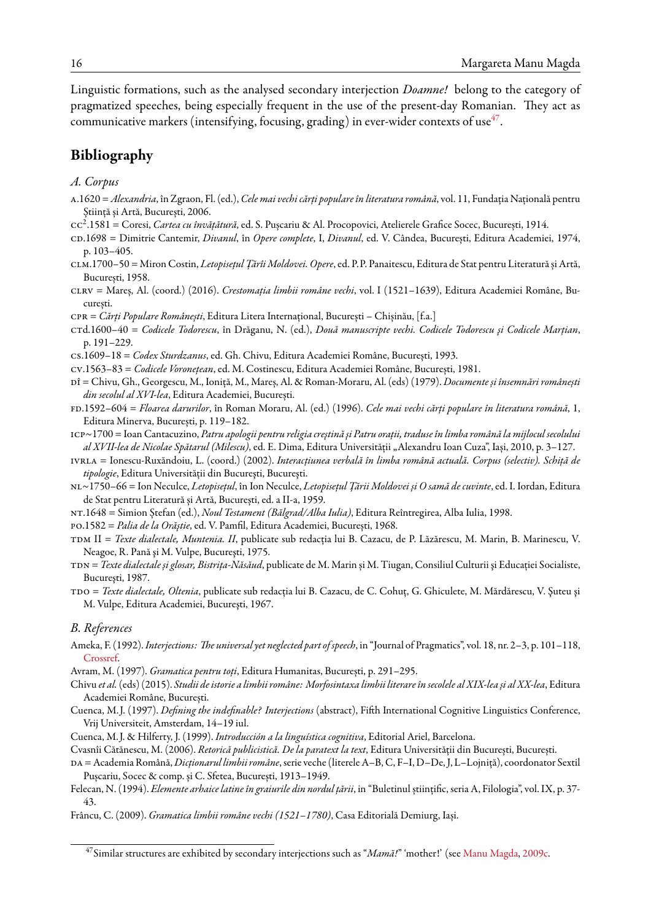Linguistic formations, such as the analysed secondary interjection *Doamne!* belong to the category of pragmatized speeches, being especially frequent in the use of the present-day Romanian. They act as communicative markers (intensifying, focusing, grading) in ever-wider contexts of use $^{47}$  $^{47}$  $^{47}$ .

# **Bibliography**

#### *A. Corpus*

- <span id="page-15-12"></span>a.1620 = *Alexandria*, în Zgraon, Fl. (ed.), *Cele mai vechi cărți populare în literatura română*, vol. 11, Fundația Națională pentru Știință și Artă, București, 2006.
- <span id="page-15-4"></span>cc<sup>2</sup> .1581 = Coresi, *Cartea cu învățătură*, ed. S. Pușcariu & Al. Procopovici, Atelierele Grafice Socec, București, 1914.
- <span id="page-15-14"></span>cd.1698 = Dimitrie Cantemir, *Divanul*, în *Opere complete*, I, *Divanul*, ed. V. Cândea, București, Editura Academiei, 1974, p. 103–405.
- <span id="page-15-25"></span>clm.1700–50 = Miron Costin, *Letopisețul Țărîi Moldovei. Opere*, ed. P.P. Panaitescu, Editura de Stat pentru Literatură și Artă, București, 1958.
- <span id="page-15-23"></span>clrv = Mareș, Al. (coord.) (2016). *Crestomația limbii române vechi*, vol. I (1521–1639), Editura Academiei Române, București.
- <span id="page-15-18"></span>cpr = *Cărți Populare Românești*, Editura Litera Internațional, București – Chișinău, [f.a.]
- <span id="page-15-6"></span>ctd.1600–40 = *Codicele Todorescu*, în Drăganu, N. (ed.), *Două manuscripte vechi. Codicele Todorescu şi Codicele Marţian*, p. 191–229.
- cs.1609–18 = *Codex Sturdzanus*, ed. Gh. Chivu, Editura Academiei Române, București, 1993.
- <span id="page-15-17"></span>cv.1563–83 = *Codicele Voronețean*, ed. M. Costinescu, Editura Academiei Române, București, 1981.
- <span id="page-15-5"></span>dî = Chivu, Gh., Georgescu, M., Ioniță, M., Mareș, Al. & Roman-Moraru, Al. (eds) (1979). *Documente și însemnări românești din secolul al XVI-lea*, Editura Academiei, București.
- <span id="page-15-24"></span>fd.1592–604 = *Floarea darurilor*, în Roman Moraru, Al. (ed.) (1996). *Cele mai vechi cărți populare în literatura română*, 1, Editura Minerva, București, p. 119–182.
- <span id="page-15-11"></span>icp~1700 = Ioan Cantacuzino, *Patru apologii pentru religia creştină şi Patru oraţii, traduse în limba română la mijlocul secolului al XVII-lea de Nicolae Spătarul (Milescu)*, ed. E. Dima, Editura Universității "Alexandru Ioan Cuza", Iași, 2010, p. 3–127.
- <span id="page-15-20"></span>ivrla = Ionescu-Ruxăndoiu, L. (coord.) (2002). *Interacţiunea verbală în limba română actuală. Corpus (selectiv). Schiţă de tipologie*, Editura Universităţii din Bucureşti, Bucureşti.
- <span id="page-15-19"></span>nl~1750–66 = Ion Neculce, *Letopisețul*, în Ion Neculce, *Letopisețul Țării Moldovei și O samă de cuvinte*, ed. I. Iordan, Editura de Stat pentru Literatură și Artă, București, ed. a II-a, 1959.
- <span id="page-15-13"></span>nt.1648 = Simion Ștefan (ed.), *Noul Testament (Bălgrad/Alba Iulia)*, Editura Reîntregirea, Alba Iulia, 1998.
- <span id="page-15-9"></span>po.1582 = *Palia de la Orăştie*, ed. V. Pamfil, Editura Academiei, București, 1968.
- <span id="page-15-8"></span>tdm II = *Texte dialectale, Muntenia. II*, publicate sub redacţia lui B. Cazacu, de P. Lăzărescu, M. Marin, B. Marinescu, V. Neagoe, R. Pană şi M. Vulpe, Bucureşti, 1975.
- <span id="page-15-16"></span>tdn = *Texte dialectale și glosar, Bistrița-Năsăud*, publicate de M. Marin și M. Tiugan, Consiliul Culturii şi Educaţiei Socialiste, Bucureşti, 1987.
- <span id="page-15-7"></span>tdo = *Texte dialectale, Oltenia*, publicate sub redacţia lui B. Cazacu, de C. Cohuţ, G. Ghiculete, M. Mărdărescu, V. Şuteu şi M. Vulpe, Editura Academiei, Bucureşti, 1967.

#### <span id="page-15-0"></span>*B. References*

- <span id="page-15-22"></span>Ameka, F. (1992).*Interjections: The universal yet neglected part of speech*, in "Journal of Pragmatics", vol. 18, nr. 2–3, p. 101–118, [Crossref.](http://dx.doi.org/10.1016/0378-2166(92)90048-G)
- Avram, M. (1997). *Gramatica pentru toți*, Editura Humanitas, București, p. 291–295.
- <span id="page-15-21"></span>Chivu *et al.*(eds) (2015). *Studii de istorie a limbii române: Morfosintaxa limbii literare în secolele al XIX-lea și al XX-lea*, Editura Academiei Române, București.
- <span id="page-15-2"></span>Cuenca, M. J. (1997). *Defining the indefinable? Interjections* (abstract), Fifth International Cognitive Linguistics Conference, Vrij Universiteit, Amsterdam, 14–19 iul.
- <span id="page-15-3"></span>Cuenca, M. J. & Hilferty, J. (1999). *Introducción a la linguística cognitiva*, Editorial Ariel, Barcelona.
- <span id="page-15-26"></span>Cvasnîi Cătănescu, M. (2006). *Retorică publicistică. De la paratext la text*, Editura Universității din București, București.
- <span id="page-15-10"></span>da = Academia Română, *Dicționarul limbii române*, serie veche (literele A–B, C, F–I, D–De, J, L–Lojniță), coordonator Sextil Pușcariu, Socec & comp. și C. Sfetea, București, 1913–1949.
- <span id="page-15-15"></span>Felecan, N. (1994). *Elemente arhaice latine în graiurile din nordul țării*, in "Buletinul științific, seria A, Filologia", vol. IX, p. 37- 43.
- <span id="page-15-1"></span>Frâncu, C. (2009). *Gramatica limbii române vechi (1521–1780)*, Casa Editorială Demiurg, Iași.

<span id="page-15-27"></span><sup>47</sup>Similar structures are exhibited by secondary interjections such as "*Mamă!*" 'mother!' (see [Manu Magda,](#page-16-17) [2009c](#page-16-17).